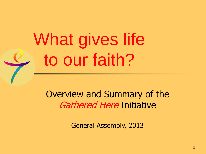What gives life to our faith?

Overview and Summary of the Gathered Here Initiative

General Assembly, 2013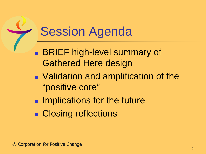### **Session Agenda**

- **BRIEF high-level summary of** Gathered Here design
- Validation and amplification of the "positive core"
- **IMPLECATIONS for the future**
- Closing reflections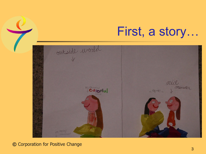First, a story…



**©** Corporation for Positive Change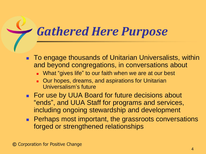#### *Gathered Here Purpose*

- To engage thousands of Unitarian Universalists, within and beyond congregations, in conversations about
	- **Nhat "gives life" to our faith when we are at our best**
	- Our hopes, dreams, and aspirations for Unitarian Universalism's future
- **For use by UUA Board for future decisions about** "ends", and UUA Staff for programs and services, including ongoing stewardship and development
- **Perhaps most important, the grassroots conversations** forged or strengthened relationships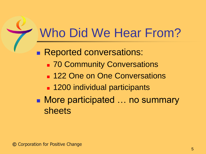# Who Did We Hear From?

**Reported conversations:** 

- **70 Community Conversations**
- **122 One on One Conversations**
- **1200 individual participants**
- More participated … no summary sheets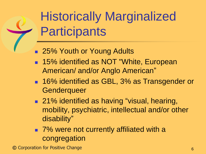# Historically Marginalized **Participants**

- 25% Youth or Young Adults
- 15% identified as NOT "White, European American/ and/or Anglo American"
- 16% identified as GBL, 3% as Transgender or **Genderqueer**
- 21% identified as having "visual, hearing, mobility, psychiatric, intellectual and/or other disability"
- 7% were not currently affiliated with a congregation

**©** Corporation for Positive Change 6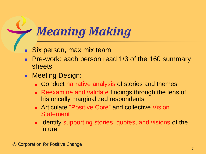#### *Meaning Making*

- Six person, max mix team
- Pre-work: each person read 1/3 of the 160 summary sheets
- **Neeting Design:** 
	- **Conduct narrative analysis of stories and themes**
	- **Reexamine and validate findings through the lens of** historically marginalized respondents
	- **EXA** Articulate "Positive Core" and collective Vision **Statement**
	- **If identify supporting stories, quotes, and visions of the** future

**©** Corporation for Positive Change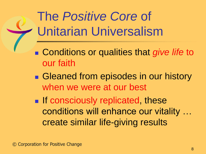# The *Positive Core* of Unitarian Universalism

- Conditions or qualities that *give life* to our faith
- Gleaned from episodes in our history when we were at our best
- **If consciously replicated, these** conditions will enhance our vitality … create similar life-giving results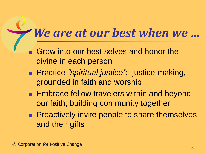### *We are at our best when we …*

- Grow into our best selves and honor the divine in each person
- Practice *"spiritual justice"*: justice-making, grounded in faith and worship
- **Embrace fellow travelers within and beyond** our faith, building community together
- **Proactively invite people to share themselves** and their gifts

 $\frac{1}{2}$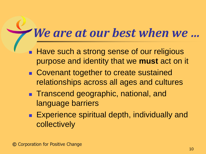#### *We are at our best when we …*

- Have such a strong sense of our religious purpose and identity that we **must** act on it
- Covenant together to create sustained relationships across all ages and cultures
- **Transcend geographic, national, and** language barriers
- **Experience spiritual depth, individually and** collectively

 $\frac{1}{2}$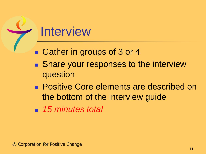#### **Interview**

- Gather in groups of 3 or 4
- Share your responses to the interview question
- **Positive Core elements are described on** the bottom of the interview guide
- 15 *minutes total*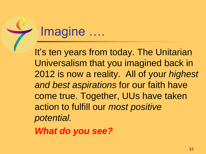#### Imagine ….

It's ten years from today. The Unitarian Universalism that you imagined back in 2012 is now a reality. All of your *highest and best aspirations* for our faith have come true. Together, UUs have taken action to fulfill our *most positive potential.* 

*What do you see?*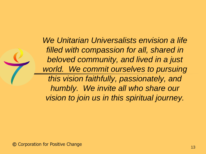*We Unitarian Universalists envision a life filled with compassion for all, shared in beloved community, and lived in a just world. We commit ourselves to pursuing this vision faithfully, passionately, and humbly. We invite all who share our vision to join us in this spiritual journey.*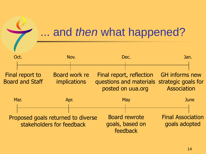#### ... and *then* what happened?